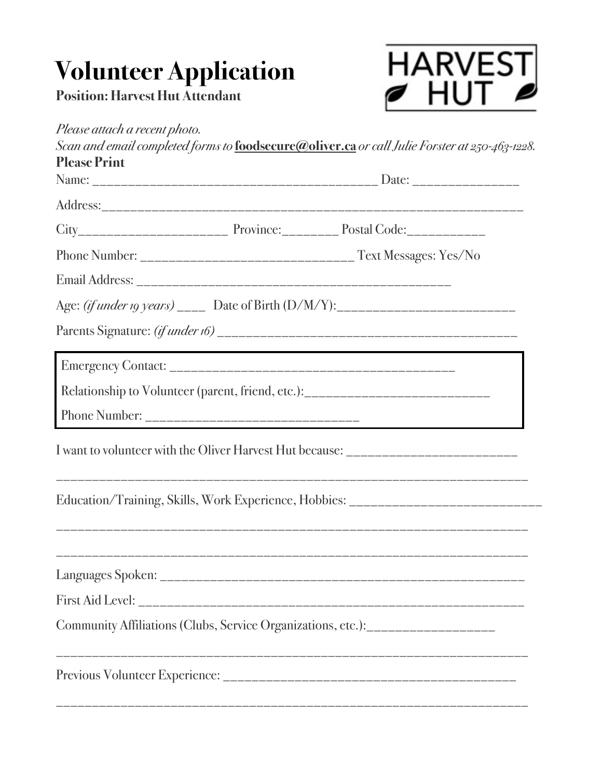## **Volunteer Application**

**Position: Harvest Hut Attendant**



| <b>Please Print</b> |                                                                                   |
|---------------------|-----------------------------------------------------------------------------------|
|                     |                                                                                   |
|                     |                                                                                   |
|                     |                                                                                   |
|                     |                                                                                   |
|                     |                                                                                   |
|                     |                                                                                   |
|                     |                                                                                   |
|                     | Relationship to Volunteer (parent, friend, etc.):_______________________________  |
|                     |                                                                                   |
|                     | I want to volunteer with the Oliver Harvest Hut because: _______________________  |
|                     | Education/Training, Skills, Work Experience, Hobbies: ___________________________ |
|                     |                                                                                   |
|                     |                                                                                   |
|                     |                                                                                   |
|                     | Community Affiliations (Clubs, Service Organizations, etc.):____________________  |
|                     |                                                                                   |